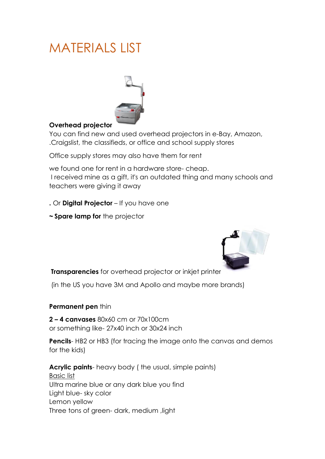# MATERIALS LIST



## **Overhead projector**

You can find new and used overhead projectors in e-Bay, Amazon, .Craigslist, the classifieds, or office and school supply stores

Office supply stores may also have them for rent

we found one for rent in a hardware store- cheap. I received mine as a gift, it's an outdated thing and many schools and teachers were giving it away

**.** Or **Digital Projector** – If you have one

**~ Spare lamp for** the projector



**Transparencies** for overhead projector or inkjet printer

(in the US you have 3M and Apollo and maybe more brands)

#### **Permanent pen** thin

**2 – 4 canvases** 80x60 cm or 70x100cm or something like- 27x40 inch or 30x24 inch

**Pencils**-HB<sub>2</sub> or HB<sub>3</sub> (for tracing the image onto the canvas and demos for the kids)

**Acrylic paints**- heavy body ( the usual, simple paints) Basic list Ultra marine blue or any dark blue you find Light blue- sky color Lemon yellow Three tons of green- dark, medium ,light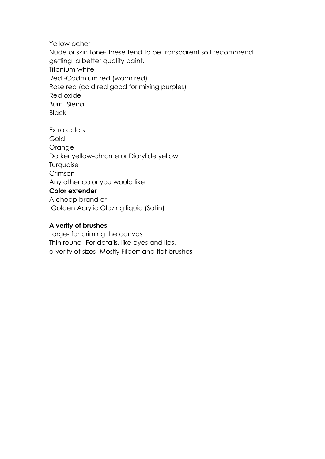Yellow ocher

Nude or skin tone- these tend to be transparent so I recommend getting a better quality paint. Titanium white Red -Cadmium red (warm red) Rose red (cold red good for mixing purples) Red oxide Burnt Siena **Black** 

Extra colors **Gold** Orange Darker yellow-chrome or Diarylide yellow Turquoise Crimson Any other color you would like **Color extender** A cheap brand or Golden Acrylic Glazing liquid (Satin)

## **A verity of brushes**

Large- for priming the canvas Thin round- For details, like eyes and lips. a verity of sizes -Mostly Filbert and flat brushes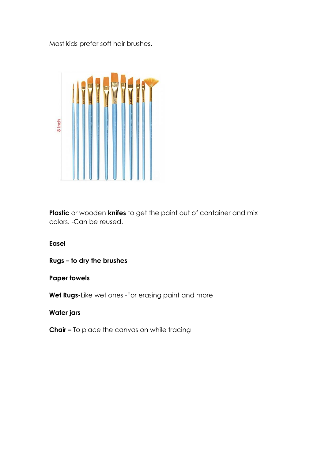Most kids prefer soft hair brushes.



**Plastic** or wooden **knifes** to get the paint out of container and mix colors. -Can be reused.

**Easel**

**Rugs – to dry the brushes**

### **Paper towels**

**Wet Rugs-**Like wet ones -For erasing paint and more

**Water jars**

**Chair –** To place the canvas on while tracing